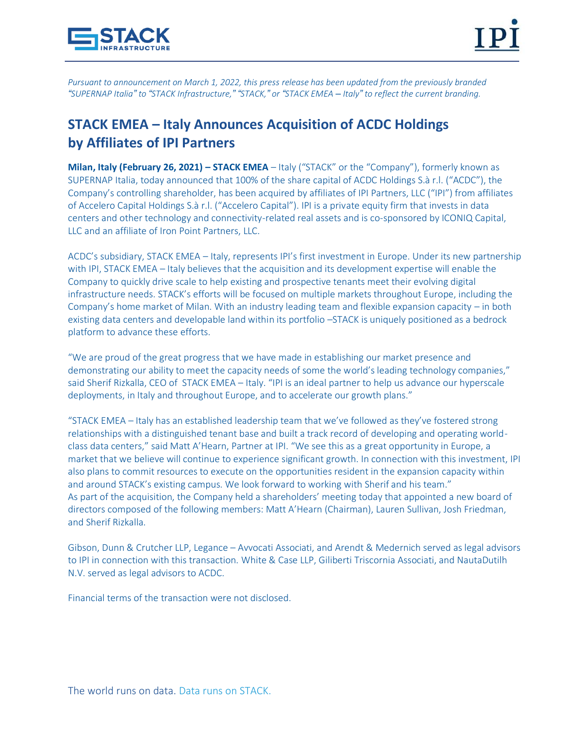

*Pursuant to announcement on March 1, 2022, this press release has been updated from the previously branded*  "SUPERNAP Italia" to "STACK Infrastructure," "STACK," or "STACK EMEA - Italy" to reflect the current branding.

# **STACK EMEA – Italy Announces Acquisition of ACDC Holdings by Affiliates of IPI Partners**

**Milan, Italy (February 26, 2021) – STACK EMEA** – Italy ("STACK" or the "Company"), formerly known as SUPERNAP Italia, today announced that 100% of the share capital of ACDC Holdings S.à r.l. ("ACDC"), the Company's controlling shareholder, has been acquired by affiliates of IPI Partners, LLC ("IPI") from affiliates of Accelero Capital Holdings S.à r.l. ("Accelero Capital"). IPI is a private equity firm that invests in data centers and other technology and connectivity-related real assets and is co-sponsored by ICONIQ Capital, LLC and an affiliate of Iron Point Partners, LLC.

ACDC's subsidiary, STACK EMEA – Italy, represents IPI's first investment in Europe. Under its new partnership with IPI, STACK EMEA – Italy believes that the acquisition and its development expertise will enable the Company to quickly drive scale to help existing and prospective tenants meet their evolving digital infrastructure needs. STACK's efforts will be focused on multiple markets throughout Europe, including the Company's home market of Milan. With an industry leading team and flexible expansion capacity – in both existing data centers and developable land within its portfolio –STACK is uniquely positioned as a bedrock platform to advance these efforts.

"We are proud of the great progress that we have made in establishing our market presence and demonstrating our ability to meet the capacity needs of some the world's leading technology companies," said Sherif Rizkalla, CEO of STACK EMEA – Italy. "IPI is an ideal partner to help us advance our hyperscale deployments, in Italy and throughout Europe, and to accelerate our growth plans."

"STACK EMEA – Italy has an established leadership team that we've followed as they've fostered strong relationships with a distinguished tenant base and built a track record of developing and operating worldclass data centers," said Matt A'Hearn, Partner at IPI. "We see this as a great opportunity in Europe, a market that we believe will continue to experience significant growth. In connection with this investment, IPI also plans to commit resources to execute on the opportunities resident in the expansion capacity within and around STACK's existing campus. We look forward to working with Sherif and his team." As part of the acquisition, the Company held a shareholders' meeting today that appointed a new board of directors composed of the following members: Matt A'Hearn (Chairman), Lauren Sullivan, Josh Friedman, and Sherif Rizkalla.

Gibson, Dunn & Crutcher LLP, Legance – Avvocati Associati, and Arendt & Medernich served as legal advisors to IPI in connection with this transaction. White & Case LLP, Giliberti Triscornia Associati, and NautaDutilh N.V. served as legal advisors to ACDC.

Financial terms of the transaction were not disclosed.